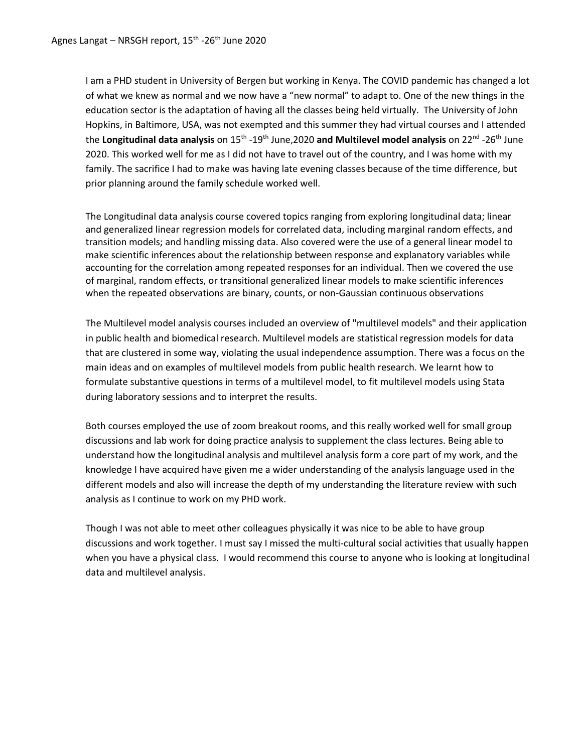I am a PHD student in University of Bergen but working in Kenya. The COVID pandemic has changed a lot of what we knew as normal and we now have a "new normal" to adapt to. One of the new things in the education sector is the adaptation of having all the classes being held virtually. The University of John Hopkins, in Baltimore, USA, was not exempted and this summer they had virtual courses and I attended the Longitudinal data analysis on 15<sup>th</sup> -19<sup>th</sup> June,2020 and Multilevel model analysis on 22<sup>nd</sup> -26<sup>th</sup> June 2020. This worked well for me as I did not have to travel out of the country, and I was home with my family. The sacrifice I had to make was having late evening classes because of the time difference, but prior planning around the family schedule worked well.

The Longitudinal data analysis course covered topics ranging from exploring longitudinal data; linear and generalized linear regression models for correlated data, including marginal random effects, and transition models; and handling missing data. Also covered were the use of a general linear model to make scientific inferences about the relationship between response and explanatory variables while accounting for the correlation among repeated responses for an individual. Then we covered the use of marginal, random effects, or transitional generalized linear models to make scientific inferences when the repeated observations are binary, counts, or non-Gaussian continuous observations

The Multilevel model analysis courses included an overview of "multilevel models" and their application in public health and biomedical research. Multilevel models are statistical regression models for data that are clustered in some way, violating the usual independence assumption. There was a focus on the main ideas and on examples of multilevel models from public health research. We learnt how to formulate substantive questions in terms of a multilevel model, to fit multilevel models using Stata during laboratory sessions and to interpret the results.

Both courses employed the use of zoom breakout rooms, and this really worked well for small group discussions and lab work for doing practice analysis to supplement the class lectures. Being able to understand how the longitudinal analysis and multilevel analysis form a core part of my work, and the knowledge I have acquired have given me a wider understanding of the analysis language used in the different models and also will increase the depth of my understanding the literature review with such analysis as I continue to work on my PHD work.

Though I was not able to meet other colleagues physically it was nice to be able to have group discussions and work together. I must say I missed the multi-cultural social activities that usually happen when you have a physical class. I would recommend this course to anyone who is looking at longitudinal data and multilevel analysis.